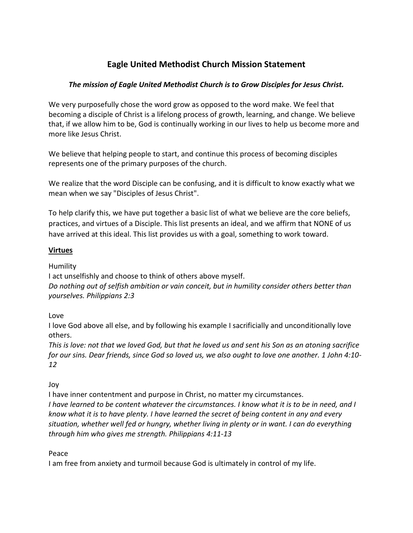# **Eagle United Methodist Church Mission Statement**

# *The mission of Eagle United Methodist Church is to Grow Disciples for Jesus Christ.*

We very purposefully chose the word grow as opposed to the word make. We feel that becoming a disciple of Christ is a lifelong process of growth, learning, and change. We believe that, if we allow him to be, God is continually working in our lives to help us become more and more like Jesus Christ.

We believe that helping people to start, and continue this process of becoming disciples represents one of the primary purposes of the church.

We realize that the word Disciple can be confusing, and it is difficult to know exactly what we mean when we say "Disciples of Jesus Christ".

To help clarify this, we have put together a basic list of what we believe are the core beliefs, practices, and virtues of a Disciple. This list presents an ideal, and we affirm that NONE of us have arrived at this ideal. This list provides us with a goal, something to work toward.

# **Virtues**

**Humility** 

I act unselfishly and choose to think of others above myself. *Do nothing out of selfish ambition or vain conceit, but in humility consider others better than yourselves. Philippians 2:3* 

Love

I love God above all else, and by following his example I sacrificially and unconditionally love others.

*This is love: not that we loved God, but that he loved us and sent his Son as an atoning sacrifice for our sins. Dear friends, since God so loved us, we also ought to love one another. 1 John 4:10- 12* 

Joy

I have inner contentment and purpose in Christ, no matter my circumstances. *I have learned to be content whatever the circumstances. I know what it is to be in need, and I know what it is to have plenty. I have learned the secret of being content in any and every situation, whether well fed or hungry, whether living in plenty or in want. I can do everything through him who gives me strength. Philippians 4:11-13*

Peace

I am free from anxiety and turmoil because God is ultimately in control of my life.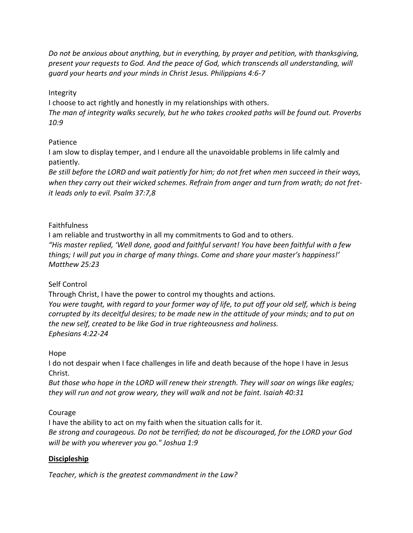*Do not be anxious about anything, but in everything, by prayer and petition, with thanksgiving, present your requests to God. And the peace of God, which transcends all understanding, will guard your hearts and your minds in Christ Jesus. Philippians 4:6-7* 

#### Integrity

I choose to act rightly and honestly in my relationships with others. *The man of integrity walks securely, but he who takes crooked paths will be found out. Proverbs 10:9* 

#### Patience

I am slow to display temper, and I endure all the unavoidable problems in life calmly and patiently.

*Be still before the LORD and wait patiently for him; do not fret when men succeed in their ways, when they carry out their wicked schemes. Refrain from anger and turn from wrath; do not fretit leads only to evil. Psalm 37:7,8*

#### **Faithfulness**

I am reliable and trustworthy in all my commitments to God and to others. *"His master replied, 'Well done, good and faithful servant! You have been faithful with a few things; I will put you in charge of many things. Come and share your master's happiness!' Matthew 25:23* 

#### Self Control

Through Christ, I have the power to control my thoughts and actions. *You were taught, with regard to your former way of life, to put off your old self, which is being corrupted by its deceitful desires; to be made new in the attitude of your minds; and to put on the new self, created to be like God in true righteousness and holiness. Ephesians 4:22-24* 

#### Hope

I do not despair when I face challenges in life and death because of the hope I have in Jesus Christ.

*But those who hope in the LORD will renew their strength. They will soar on wings like eagles; they will run and not grow weary, they will walk and not be faint. Isaiah 40:31* 

### Courage

I have the ability to act on my faith when the situation calls for it. *Be strong and courageous. Do not be terrified; do not be discouraged, for the LORD your God will be with you wherever you go." Joshua 1:9*

### **Discipleship**

*Teacher, which is the greatest commandment in the Law?*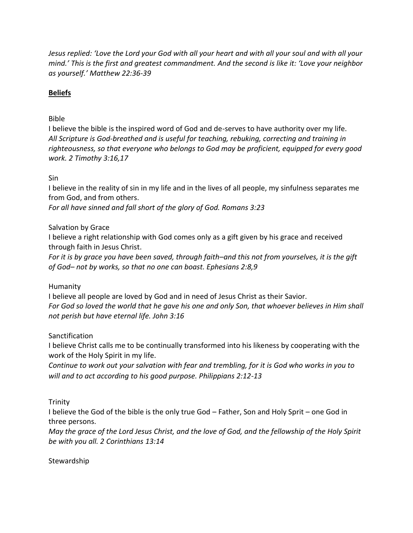*Jesus replied: 'Love the Lord your God with all your heart and with all your soul and with all your mind.' This is the first and greatest commandment. And the second is like it: 'Love your neighbor as yourself.' Matthew 22:36-39*

## **Beliefs**

## Bible

I believe the bible is the inspired word of God and de-serves to have authority over my life. *All Scripture is God-breathed and is useful for teaching, rebuking, correcting and training in righteousness, so that everyone who belongs to God may be proficient, equipped for every good work. 2 Timothy 3:16,17* 

Sin

I believe in the reality of sin in my life and in the lives of all people, my sinfulness separates me from God, and from others.

*For all have sinned and fall short of the glory of God. Romans 3:23* 

#### Salvation by Grace

I believe a right relationship with God comes only as a gift given by his grace and received through faith in Jesus Christ.

*For it is by grace you have been saved, through faith–and this not from yourselves, it is the gift of God– not by works, so that no one can boast. Ephesians 2:8,9* 

### Humanity

I believe all people are loved by God and in need of Jesus Christ as their Savior. *For God so loved the world that he gave his one and only Son, that whoever believes in Him shall not perish but have eternal life. John 3:16* 

Sanctification

I believe Christ calls me to be continually transformed into his likeness by cooperating with the work of the Holy Spirit in my life.

*Continue to work out your salvation with fear and trembling, for it is God who works in you to will and to act according to his good purpose. Philippians 2:12-13*

Trinity

I believe the God of the bible is the only true God – Father, Son and Holy Sprit – one God in three persons.

*May the grace of the Lord Jesus Christ, and the love of God, and the fellowship of the Holy Spirit be with you all. 2 Corinthians 13:14* 

Stewardship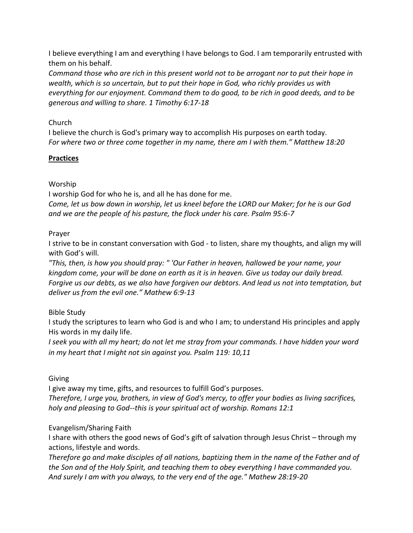I believe everything I am and everything I have belongs to God. I am temporarily entrusted with them on his behalf.

*Command those who are rich in this present world not to be arrogant nor to put their hope in wealth, which is so uncertain, but to put their hope in God, who richly provides us with everything for our enjoyment. Command them to do good, to be rich in good deeds, and to be generous and willing to share. 1 Timothy 6:17-18* 

## Church

I believe the church is God's primary way to accomplish His purposes on earth today. *For where two or three come together in my name, there am I with them." Matthew 18:20*

# **Practices**

# Worship

I worship God for who he is, and all he has done for me. *Come, let us bow down in worship, let us kneel before the LORD our Maker; for he is our God* 

*and we are the people of his pasture, the flock under his care. Psalm 95:6-7* 

# Prayer

I strive to be in constant conversation with God - to listen, share my thoughts, and align my will with God's will.

*"This, then, is how you should pray: " 'Our Father in heaven, hallowed be your name, your kingdom come, your will be done on earth as it is in heaven. Give us today our daily bread. Forgive us our debts, as we also have forgiven our debtors. And lead us not into temptation, but deliver us from the evil one." Mathew 6:9-13* 

# Bible Study

I study the scriptures to learn who God is and who I am; to understand His principles and apply His words in my daily life.

*I seek you with all my heart; do not let me stray from your commands. I have hidden your word in my heart that I might not sin against you. Psalm 119: 10,11*

# Giving

I give away my time, gifts, and resources to fulfill God's purposes. *Therefore, I urge you, brothers, in view of God's mercy, to offer your bodies as living sacrifices, holy and pleasing to God--this is your spiritual act of worship. Romans 12:1* 

# Evangelism/Sharing Faith

I share with others the good news of God's gift of salvation through Jesus Christ – through my actions, lifestyle and words.

*Therefore go and make disciples of all nations, baptizing them in the name of the Father and of the Son and of the Holy Spirit, and teaching them to obey everything I have commanded you. And surely I am with you always, to the very end of the age." Mathew 28:19-20*